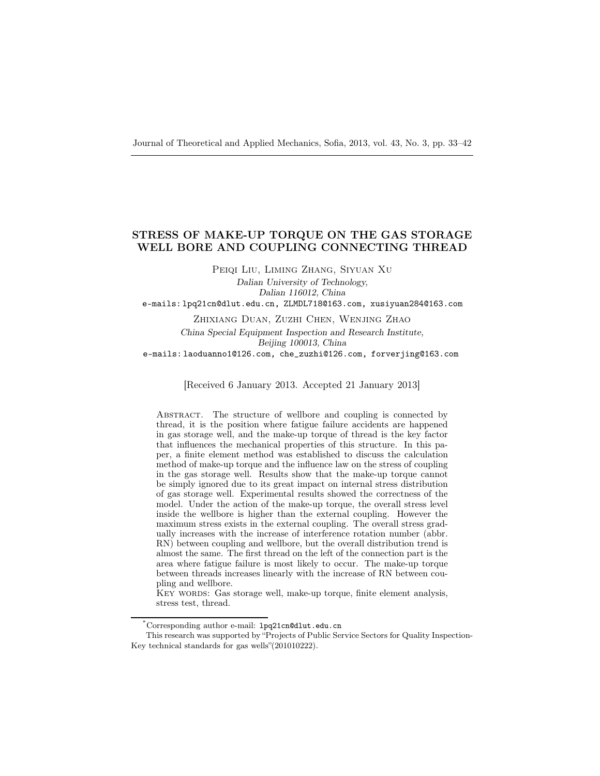# STRESS OF MAKE-UP TORQUE ON THE GAS STORAGE WELL BORE AND COUPLING CONNECTING THREAD

Peiqi Liu, Liming Zhang, Siyuan Xu

Dalian University of Technology, Dalian 116012, China e-mails: lpq21cn@dlut.edu.cn, ZLMDL718@163.com, xusiyuan284@163.com

Zhixiang Duan, Zuzhi Chen, Wenjing Zhao China Special Equipment Inspection and Research Institute, Beijing 100013, China e-mails: laoduanno1@126.com, che\_zuzhi@126.com, forverjing@163.com

[Received 6 January 2013. Accepted 21 January 2013]

ABSTRACT. The structure of wellbore and coupling is connected by thread, it is the position where fatigue failure accidents are happened in gas storage well, and the make-up torque of thread is the key factor that influences the mechanical properties of this structure. In this paper, a finite element method was established to discuss the calculation method of make-up torque and the influence law on the stress of coupling in the gas storage well. Results show that the make-up torque cannot be simply ignored due to its great impact on internal stress distribution of gas storage well. Experimental results showed the correctness of the model. Under the action of the make-up torque, the overall stress level inside the wellbore is higher than the external coupling. However the maximum stress exists in the external coupling. The overall stress gradually increases with the increase of interference rotation number (abbr. RN) between coupling and wellbore, but the overall distribution trend is almost the same. The first thread on the left of the connection part is the area where fatigue failure is most likely to occur. The make-up torque between threads increases linearly with the increase of RN between coupling and wellbore.

KEY WORDS: Gas storage well, make-up torque, finite element analysis, stress test, thread.

<sup>\*</sup>Corresponding author e-mail: lpq21cn@dlut.edu.cn

This research was supported by "Projects of Public Service Sectors for Quality Inspection-Key technical standards for gas wells"(201010222).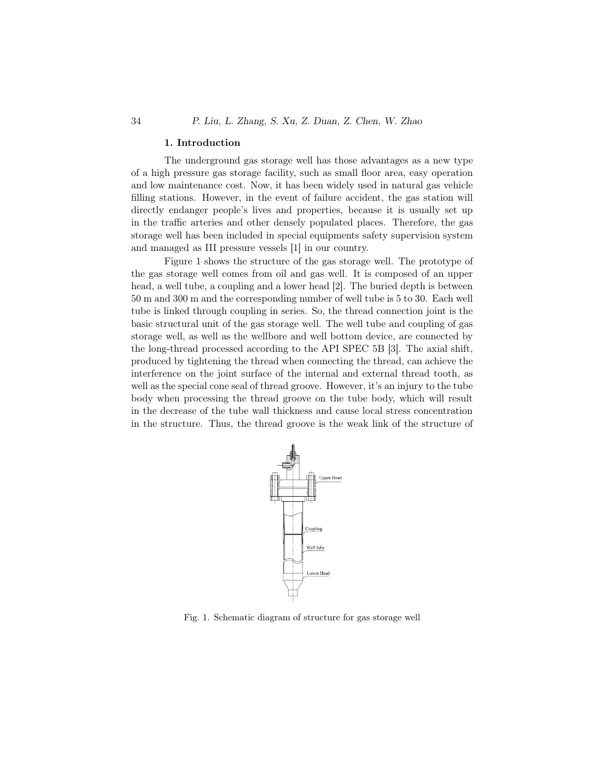#### 1. Introduction

The underground gas storage well has those advantages as a new type of a high pressure gas storage facility, such as small floor area, easy operation and low maintenance cost. Now, it has been widely used in natural gas vehicle filling stations. However, in the event of failure accident, the gas station will directly endanger people's lives and properties, because it is usually set up in the traffic arteries and other densely populated places. Therefore, the gas storage well has been included in special equipments safety supervision system and managed as III pressure vessels [1] in our country.

Figure 1 shows the structure of the gas storage well. The prototype of the gas storage well comes from oil and gas well. It is composed of an upper head, a well tube, a coupling and a lower head [2]. The buried depth is between 50 m and 300 m and the corresponding number of well tube is 5 to 30. Each well tube is linked through coupling in series. So, the thread connection joint is the basic structural unit of the gas storage well. The well tube and coupling of gas storage well, as well as the wellbore and well bottom device, are connected by the long-thread processed according to the API SPEC 5B [3]. The axial shift, produced by tightening the thread when connecting the thread, can achieve the interference on the joint surface of the internal and external thread tooth, as well as the special cone seal of thread groove. However, it's an injury to the tube body when processing the thread groove on the tube body, which will result in the decrease of the tube wall thickness and cause local stress concentration in the structure. Thus, the thread groove is the weak link of the structure of



Fig. 1. Schematic diagram of structure for gas storage well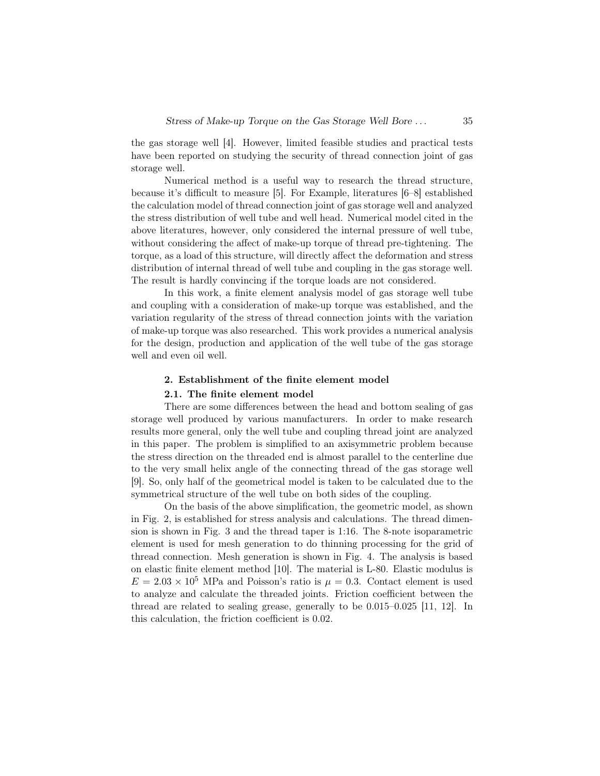the gas storage well [4]. However, limited feasible studies and practical tests have been reported on studying the security of thread connection joint of gas storage well.

Numerical method is a useful way to research the thread structure, because it's difficult to measure [5]. For Example, literatures [6–8] established the calculation model of thread connection joint of gas storage well and analyzed the stress distribution of well tube and well head. Numerical model cited in the above literatures, however, only considered the internal pressure of well tube, without considering the affect of make-up torque of thread pre-tightening. The torque, as a load of this structure, will directly affect the deformation and stress distribution of internal thread of well tube and coupling in the gas storage well. The result is hardly convincing if the torque loads are not considered.

In this work, a finite element analysis model of gas storage well tube and coupling with a consideration of make-up torque was established, and the variation regularity of the stress of thread connection joints with the variation of make-up torque was also researched. This work provides a numerical analysis for the design, production and application of the well tube of the gas storage well and even oil well.

#### 2. Establishment of the finite element model

#### 2.1. The finite element model

There are some differences between the head and bottom sealing of gas storage well produced by various manufacturers. In order to make research results more general, only the well tube and coupling thread joint are analyzed in this paper. The problem is simplified to an axisymmetric problem because the stress direction on the threaded end is almost parallel to the centerline due to the very small helix angle of the connecting thread of the gas storage well [9]. So, only half of the geometrical model is taken to be calculated due to the symmetrical structure of the well tube on both sides of the coupling.

On the basis of the above simplification, the geometric model, as shown in Fig. 2, is established for stress analysis and calculations. The thread dimension is shown in Fig. 3 and the thread taper is 1:16. The 8-note isoparametric element is used for mesh generation to do thinning processing for the grid of thread connection. Mesh generation is shown in Fig. 4. The analysis is based on elastic finite element method [10]. The material is L-80. Elastic modulus is  $E = 2.03 \times 10^5$  MPa and Poisson's ratio is  $\mu = 0.3$ . Contact element is used to analyze and calculate the threaded joints. Friction coefficient between the thread are related to sealing grease, generally to be 0.015–0.025 [11, 12]. In this calculation, the friction coefficient is 0.02.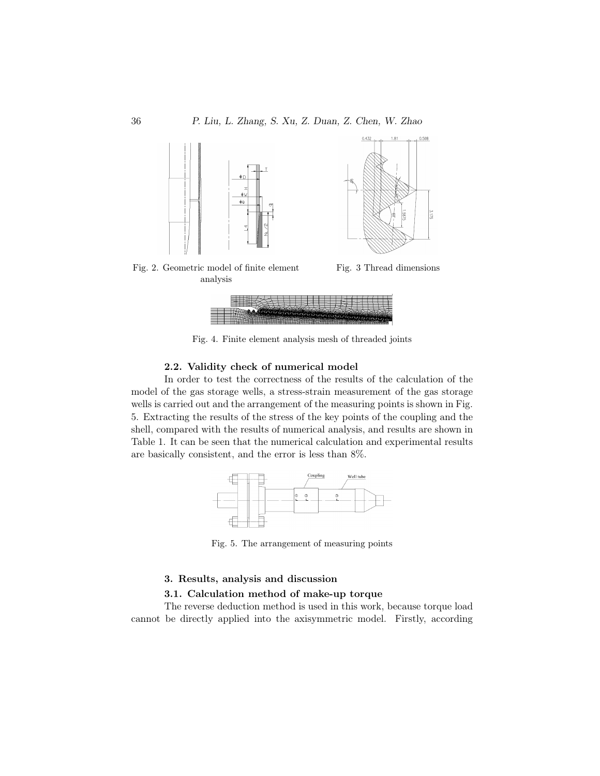

Fig. 4. Finite element analysis mesh of threaded joints

### 2.2. Validity check of numerical model

In order to test the correctness of the results of the calculation of the model of the gas storage wells, a stress-strain measurement of the gas storage wells is carried out and the arrangement of the measuring points is shown in Fig. 5. Extracting the results of the stress of the key points of the coupling and the shell, compared with the results of numerical analysis, and results are shown in Table 1. It can be seen that the numerical calculation and experimental results are basically consistent, and the error is less than 8%.



Fig. 5. The arrangement of measuring points

#### 3. Results, analysis and discussion

## 3.1. Calculation method of make-up torque

The reverse deduction method is used in this work, because torque load cannot be directly applied into the axisymmetric model. Firstly, according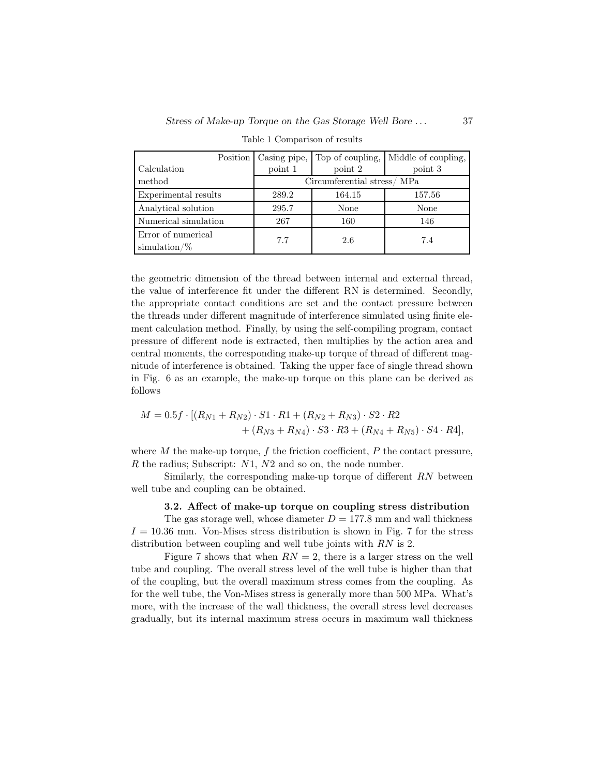| Position             | Casing pipe,               | Top of coupling, | Middle of coupling, |
|----------------------|----------------------------|------------------|---------------------|
| Calculation          | point 1                    | point 2          | point 3             |
| method               | Circumferential stress/MPa |                  |                     |
| Experimental results | 289.2                      | 164.15           | 157.56              |
| Analytical solution  | 295.7                      | None             | None                |
| Numerical simulation | 267                        | 160              | 146                 |
| Error of numerical   | 7.7                        | 2.6              | 7.4                 |
| $simulation/\%$      |                            |                  |                     |

Table 1 Comparison of results

the geometric dimension of the thread between internal and external thread, the value of interference fit under the different RN is determined. Secondly, the appropriate contact conditions are set and the contact pressure between the threads under different magnitude of interference simulated using finite element calculation method. Finally, by using the self-compiling program, contact pressure of different node is extracted, then multiplies by the action area and central moments, the corresponding make-up torque of thread of different magnitude of interference is obtained. Taking the upper face of single thread shown in Fig. 6 as an example, the make-up torque on this plane can be derived as follows

$$
M = 0.5f \cdot [(R_{N1} + R_{N2}) \cdot S1 \cdot R1 + (R_{N2} + R_{N3}) \cdot S2 \cdot R2 + (R_{N3} + R_{N4}) \cdot S3 \cdot R3 + (R_{N4} + R_{N5}) \cdot S4 \cdot R4],
$$

where  $M$  the make-up torque,  $f$  the friction coefficient,  $P$  the contact pressure,  $R$  the radius; Subscript:  $N1$ ,  $N2$  and so on, the node number.

Similarly, the corresponding make-up torque of different RN between well tube and coupling can be obtained.

3.2. Affect of make-up torque on coupling stress distribution

The gas storage well, whose diameter  $D = 177.8$  mm and wall thickness  $I = 10.36$  mm. Von-Mises stress distribution is shown in Fig. 7 for the stress distribution between coupling and well tube joints with RN is 2.

Figure 7 shows that when  $RN = 2$ , there is a larger stress on the well tube and coupling. The overall stress level of the well tube is higher than that of the coupling, but the overall maximum stress comes from the coupling. As for the well tube, the Von-Mises stress is generally more than 500 MPa. What's more, with the increase of the wall thickness, the overall stress level decreases gradually, but its internal maximum stress occurs in maximum wall thickness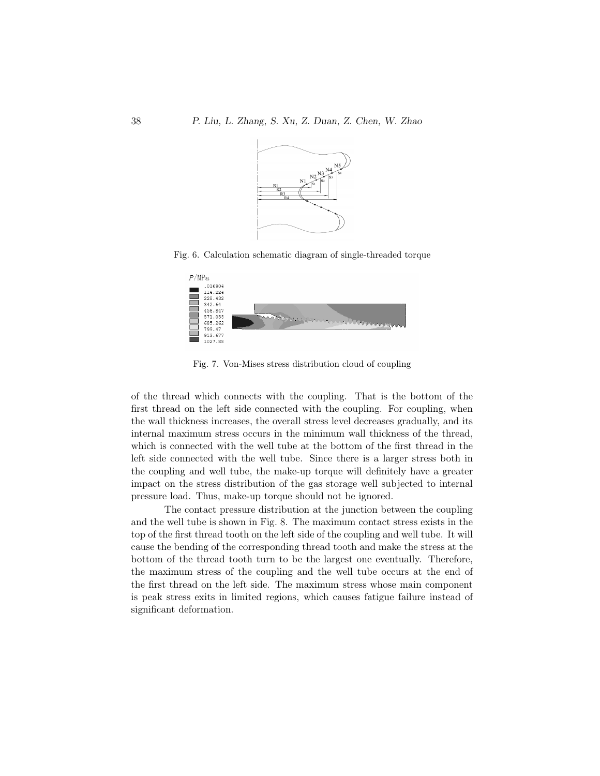

Fig. 6. Calculation schematic diagram of single-threaded torque



Fig. 7. Von-Mises stress distribution cloud of coupling

of the thread which connects with the coupling. That is the bottom of the first thread on the left side connected with the coupling. For coupling, when the wall thickness increases, the overall stress level decreases gradually, and its internal maximum stress occurs in the minimum wall thickness of the thread, which is connected with the well tube at the bottom of the first thread in the left side connected with the well tube. Since there is a larger stress both in the coupling and well tube, the make-up torque will definitely have a greater impact on the stress distribution of the gas storage well subjected to internal pressure load. Thus, make-up torque should not be ignored.

The contact pressure distribution at the junction between the coupling and the well tube is shown in Fig. 8. The maximum contact stress exists in the top of the first thread tooth on the left side of the coupling and well tube. It will cause the bending of the corresponding thread tooth and make the stress at the bottom of the thread tooth turn to be the largest one eventually. Therefore, the maximum stress of the coupling and the well tube occurs at the end of the first thread on the left side. The maximum stress whose main component is peak stress exits in limited regions, which causes fatigue failure instead of significant deformation.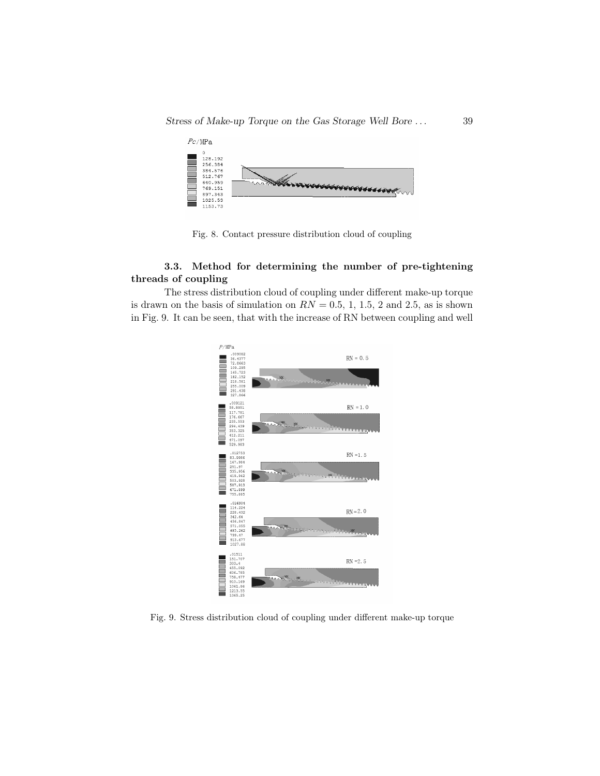

Fig. 8. Contact pressure distribution cloud of coupling

# 3.3. Method for determining the number of pre-tightening threads of coupling

The stress distribution cloud of coupling under different make-up torque is drawn on the basis of simulation on  $RN = 0.5, 1, 1.5, 2$  and 2.5, as is shown in Fig. 9. It can be seen, that with the increase of RN between coupling and well



Fig. 9. Stress distribution cloud of coupling under different make-up torque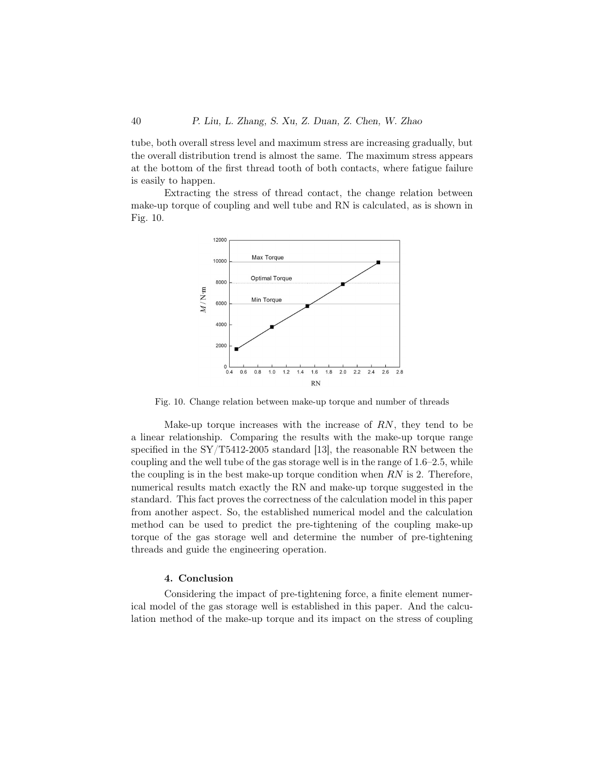tube, both overall stress level and maximum stress are increasing gradually, but the overall distribution trend is almost the same. The maximum stress appears at the bottom of the first thread tooth of both contacts, where fatigue failure is easily to happen.

Extracting the stress of thread contact, the change relation between make-up torque of coupling and well tube and RN is calculated, as is shown in Fig. 10.



Fig. 10. Change relation between make-up torque and number of threads

Make-up torque increases with the increase of  $RN$ , they tend to be a linear relationship. Comparing the results with the make-up torque range specified in the SY/T5412-2005 standard [13], the reasonable RN between the coupling and the well tube of the gas storage well is in the range of 1.6–2.5, while the coupling is in the best make-up torque condition when  $RN$  is 2. Therefore, numerical results match exactly the RN and make-up torque suggested in the standard. This fact proves the correctness of the calculation model in this paper from another aspect. So, the established numerical model and the calculation method can be used to predict the pre-tightening of the coupling make-up torque of the gas storage well and determine the number of pre-tightening threads and guide the engineering operation.

## 4. Conclusion

Considering the impact of pre-tightening force, a finite element numerical model of the gas storage well is established in this paper. And the calculation method of the make-up torque and its impact on the stress of coupling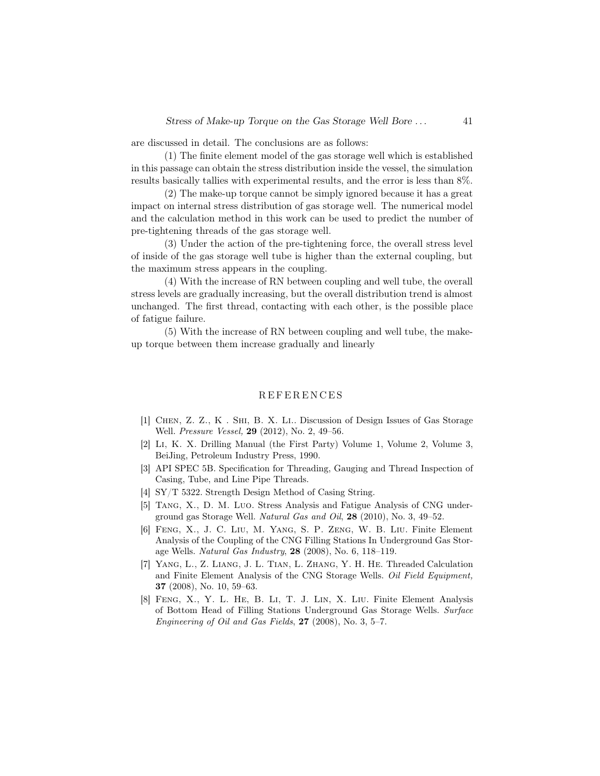are discussed in detail. The conclusions are as follows:

(1) The finite element model of the gas storage well which is established in this passage can obtain the stress distribution inside the vessel, the simulation results basically tallies with experimental results, and the error is less than 8%.

(2) The make-up torque cannot be simply ignored because it has a great impact on internal stress distribution of gas storage well. The numerical model and the calculation method in this work can be used to predict the number of pre-tightening threads of the gas storage well.

(3) Under the action of the pre-tightening force, the overall stress level of inside of the gas storage well tube is higher than the external coupling, but the maximum stress appears in the coupling.

(4) With the increase of RN between coupling and well tube, the overall stress levels are gradually increasing, but the overall distribution trend is almost unchanged. The first thread, contacting with each other, is the possible place of fatigue failure.

(5) With the increase of RN between coupling and well tube, the makeup torque between them increase gradually and linearly

### **REFERENCES**

- [1] Chen, Z. Z., K . Shi, B. X. Li.. Discussion of Design Issues of Gas Storage Well. Pressure Vessel, 29 (2012), No. 2, 49–56.
- [2] Li, K. X. Drilling Manual (the First Party) Volume 1, Volume 2, Volume 3, BeiJing, Petroleum Industry Press, 1990.
- [3] API SPEC 5B. Specification for Threading, Gauging and Thread Inspection of Casing, Tube, and Line Pipe Threads.
- [4] SY/T 5322. Strength Design Method of Casing String.
- [5] Tang, X., D. M. Luo. Stress Analysis and Fatigue Analysis of CNG underground gas Storage Well. Natural Gas and Oil,  $28$  (2010), No. 3, 49–52.
- [6] Feng, X., J. C. Liu, M. Yang, S. P. Zeng, W. B. Liu. Finite Element Analysis of the Coupling of the CNG Filling Stations In Underground Gas Storage Wells. Natural Gas Industry, 28 (2008), No. 6, 118–119.
- [7] Yang, L., Z. Liang, J. L. Tian, L. Zhang, Y. H. He. Threaded Calculation and Finite Element Analysis of the CNG Storage Wells. Oil Field Equipment, 37 (2008), No. 10, 59–63.
- [8] Feng, X., Y. L. He, B. Li, T. J. Lin, X. Liu. Finite Element Analysis of Bottom Head of Filling Stations Underground Gas Storage Wells. Surface Engineering of Oil and Gas Fields,  $27$  (2008), No. 3, 5–7.